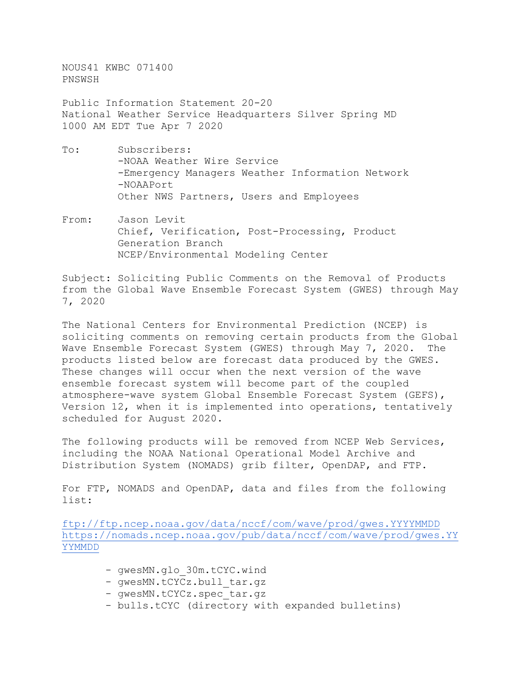NOUS41 KWBC 071400 PNSWSH

Public Information Statement 20-20 National Weather Service Headquarters Silver Spring MD 1000 AM EDT Tue Apr 7 2020

- To: Subscribers: -NOAA Weather Wire Service -Emergency Managers Weather Information Network -NOAAPort Other NWS Partners, Users and Employees
- From: Jason Levit Chief, Verification, Post-Processing, Product Generation Branch NCEP/Environmental Modeling Center

Subject: Soliciting Public Comments on the Removal of Products from the Global Wave Ensemble Forecast System (GWES) through May 7, 2020

The National Centers for Environmental Prediction (NCEP) is soliciting comments on removing certain products from the Global Wave Ensemble Forecast System (GWES) through May 7, 2020. The products listed below are forecast data produced by the GWES. These changes will occur when the next version of the wave ensemble forecast system will become part of the coupled atmosphere-wave system Global Ensemble Forecast System (GEFS), Version 12, when it is implemented into operations, tentatively scheduled for August 2020.

The following products will be removed from NCEP Web Services, including the NOAA National Operational Model Archive and Distribution System (NOMADS) grib filter, OpenDAP, and FTP.

For FTP, NOMADS and OpenDAP, data and files from the following list:

<ftp://ftp.ncep.noaa.gov/data/nccf/com/wave/prod/gwes.YYYYMMDD> [https://nomads.ncep.noaa.gov/pub/data/nccf/com/wave/prod/gwes.YY](https://nomads.ncep.noaa.gov/pub/data/nccf/com/wave/prod/gwes.YYYYMMDD) [YYMMDD](https://nomads.ncep.noaa.gov/pub/data/nccf/com/wave/prod/gwes.YYYYMMDD)

- qwesMN.glo 30m.tCYC.wind
- gwesMN.tCYCz.bull tar.gz
- qwesMN.tCYCz.spec tar.qz
- bulls.tCYC (directory with expanded bulletins)